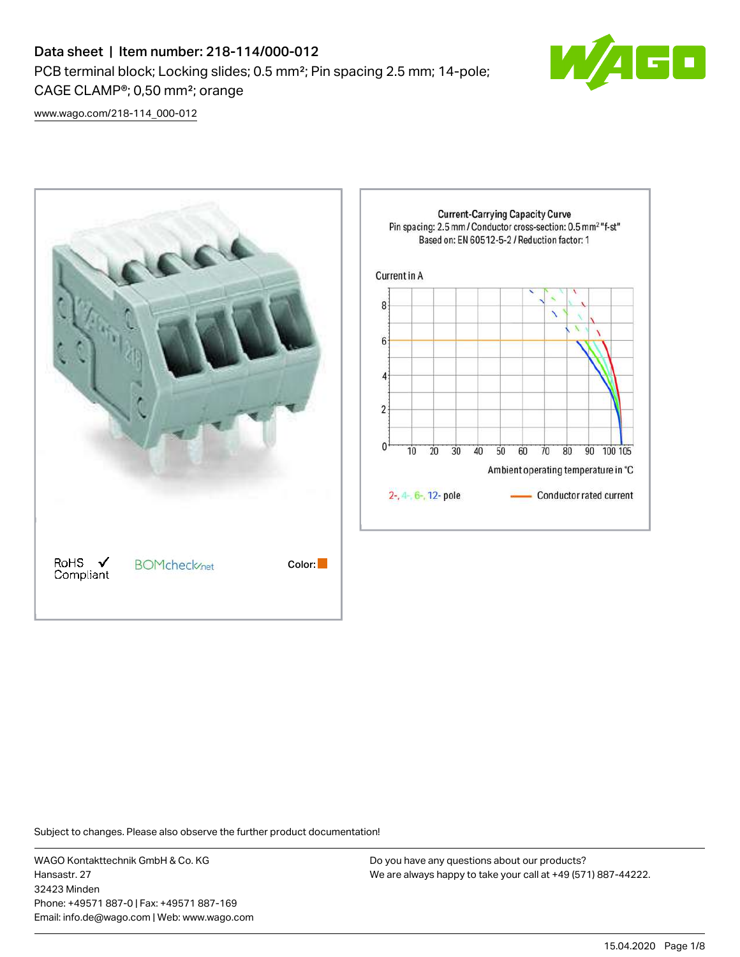# Data sheet | Item number: 218-114/000-012 PCB terminal block; Locking slides; 0.5 mm²; Pin spacing 2.5 mm; 14-pole; CAGE CLAMP®; 0,50 mm²; orange



[www.wago.com/218-114\\_000-012](http://www.wago.com/218-114_000-012)



Subject to changes. Please also observe the further product documentation!

WAGO Kontakttechnik GmbH & Co. KG Hansastr. 27 32423 Minden Phone: +49571 887-0 | Fax: +49571 887-169 Email: info.de@wago.com | Web: www.wago.com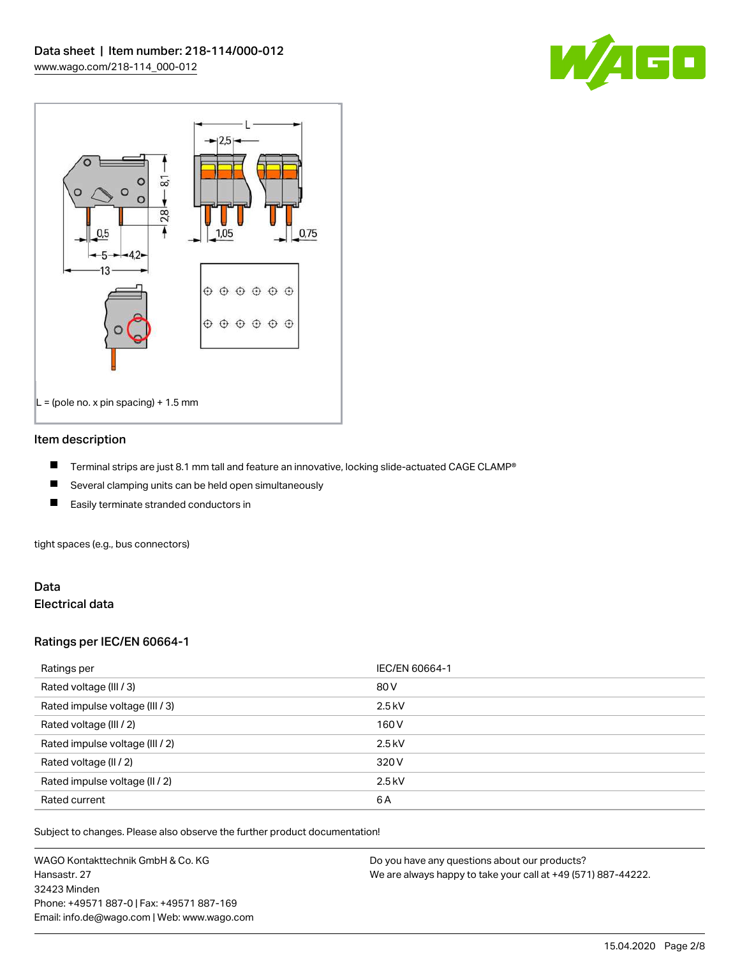



#### Item description

- П Terminal strips are just 8.1 mm tall and feature an innovative, locking slide-actuated CAGE CLAMP®
- $\blacksquare$ Several clamping units can be held open simultaneously
- П Easily terminate stranded conductors in

tight spaces (e.g., bus connectors)

#### Data Electrical data

### Ratings per IEC/EN 60664-1

| Ratings per                     | IEC/EN 60664-1 |
|---------------------------------|----------------|
| Rated voltage (III / 3)         | 80 V           |
| Rated impulse voltage (III / 3) | $2.5$ kV       |
| Rated voltage (III / 2)         | 160 V          |
| Rated impulse voltage (III / 2) | $2.5$ kV       |
| Rated voltage (II / 2)          | 320 V          |
| Rated impulse voltage (II / 2)  | $2.5$ kV       |
| Rated current                   | 6A             |

Subject to changes. Please also observe the further product documentation!

WAGO Kontakttechnik GmbH & Co. KG Hansastr. 27 32423 Minden Phone: +49571 887-0 | Fax: +49571 887-169 Email: info.de@wago.com | Web: www.wago.com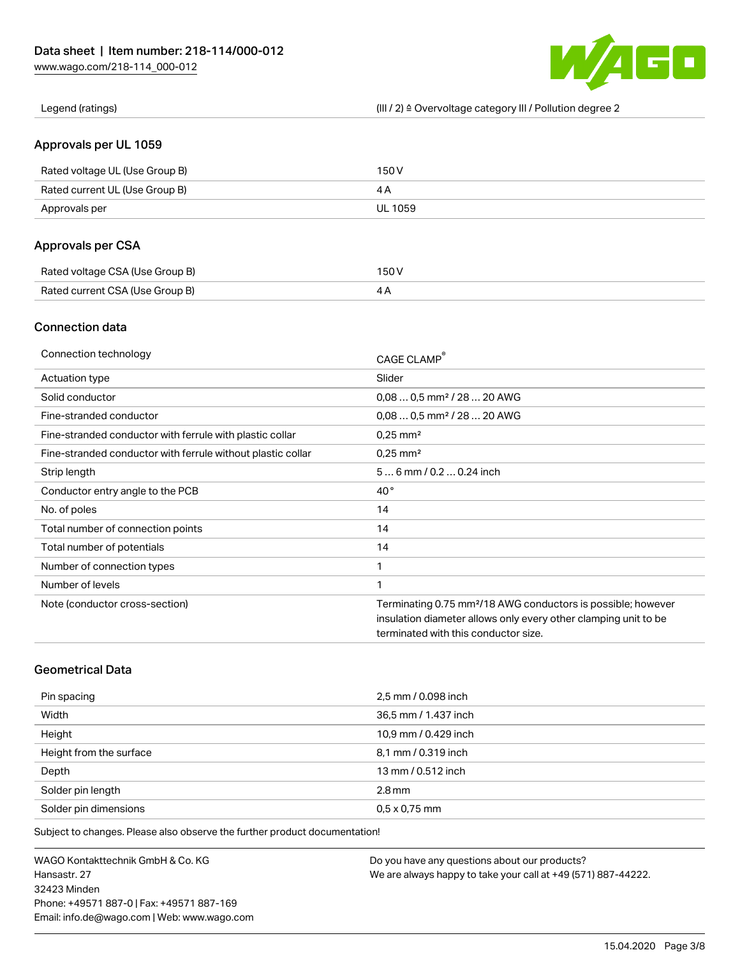

Legend (ratings) (III / 2) ≙ Overvoltage category III / Pollution degree 2

### Approvals per UL 1059

| Rated voltage UL (Use Group B) | 150 V          |
|--------------------------------|----------------|
| Rated current UL (Use Group B) |                |
| Approvals per                  | <b>UL 1059</b> |

### Approvals per CSA

| Rated voltage CSA (Use Group B) | 150 V |
|---------------------------------|-------|
| Rated current CSA (Use Group B) |       |

### Connection data

| Connection technology                                       | CAGE CLAMP®                                                              |
|-------------------------------------------------------------|--------------------------------------------------------------------------|
| Actuation type                                              | Slider                                                                   |
| Solid conductor                                             | $0.080.5$ mm <sup>2</sup> / 28  20 AWG                                   |
| Fine-stranded conductor                                     | $0.080.5$ mm <sup>2</sup> / 28  20 AWG                                   |
| Fine-stranded conductor with ferrule with plastic collar    | $0.25$ mm <sup>2</sup>                                                   |
| Fine-stranded conductor with ferrule without plastic collar | $0.25$ mm <sup>2</sup>                                                   |
| Strip length                                                | $56$ mm $/ 0.20.24$ inch                                                 |
| Conductor entry angle to the PCB                            | $40^{\circ}$                                                             |
| No. of poles                                                | 14                                                                       |
| Total number of connection points                           | 14                                                                       |
| Total number of potentials                                  | 14                                                                       |
| Number of connection types                                  | 1                                                                        |
| Number of levels                                            | 1                                                                        |
| Note (conductor cross-section)                              | Terminating 0.75 mm <sup>2</sup> /18 AWG conductors is possible; however |
|                                                             | insulation diameter allows only every other clamping unit to be          |
|                                                             | terminated with this conductor size.                                     |

# Geometrical Data

| Pin spacing             | 2,5 mm / 0.098 inch  |
|-------------------------|----------------------|
| Width                   | 36,5 mm / 1.437 inch |
| Height                  | 10,9 mm / 0.429 inch |
| Height from the surface | 8,1 mm / 0.319 inch  |
| Depth                   | 13 mm / 0.512 inch   |
| Solder pin length       | $2.8$ mm             |
| Solder pin dimensions   | $0.5 \times 0.75$ mm |

Subject to changes. Please also observe the further product documentation!

WAGO Kontakttechnik GmbH & Co. KG Hansastr. 27 32423 Minden Phone: +49571 887-0 | Fax: +49571 887-169 Email: info.de@wago.com | Web: www.wago.com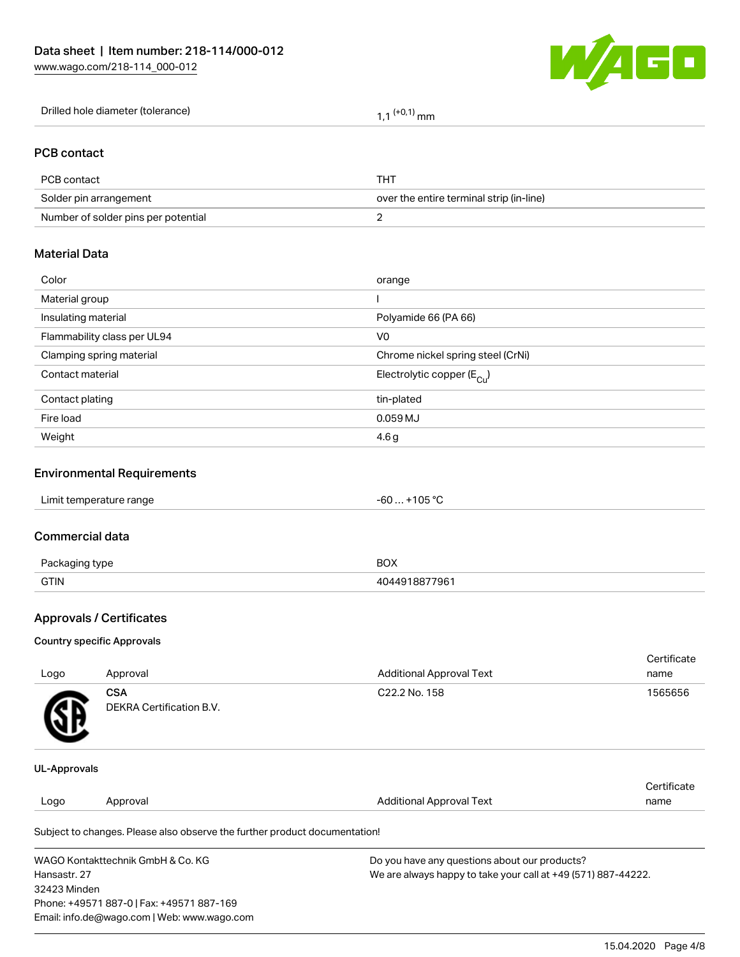

| Drilled hole diameter (tolerance) | $(+0.1)$<br>'' mm |
|-----------------------------------|-------------------|
|-----------------------------------|-------------------|

### PCB contact

| PCB contact                         | THT                                      |
|-------------------------------------|------------------------------------------|
| Solder pin arrangement              | over the entire terminal strip (in-line) |
| Number of solder pins per potential |                                          |

# Material Data

| Color                       | orange                                |
|-----------------------------|---------------------------------------|
| Material group              |                                       |
| Insulating material         | Polyamide 66 (PA 66)                  |
| Flammability class per UL94 | V <sub>0</sub>                        |
| Clamping spring material    | Chrome nickel spring steel (CrNi)     |
| Contact material            | Electrolytic copper $(E_{\text{Cl}})$ |
| Contact plating             | tin-plated                            |
| Fire load                   | 0.059 MJ                              |
| Weight                      | 4.6 <sub>g</sub>                      |
|                             |                                       |

### Environmental Requirements

# Commercial data

| $D_{20}$<br>aina type | BOX    |
|-----------------------|--------|
| <b>GTIN</b>           | ነ77961 |

# Approvals / Certificates

#### Country specific Approvals

| Logo         | Approval                               | <b>Additional Approval Text</b> | Certificate<br>name |
|--------------|----------------------------------------|---------------------------------|---------------------|
| Œ            | <b>CSA</b><br>DEKRA Certification B.V. | C22.2 No. 158                   | 1565656             |
| UL-Approvals |                                        |                                 |                     |

#### Logo Approval And American Additional Approval Text **Certificate** name

Subject to changes. Please also observe the further product documentation!

| WAGO Kontakttechnik GmbH & Co. KG           | Do you have any questions about our products?                 |
|---------------------------------------------|---------------------------------------------------------------|
| Hansastr. 27                                | We are always happy to take your call at +49 (571) 887-44222. |
| 32423 Minden                                |                                                               |
| Phone: +49571 887-0   Fax: +49571 887-169   |                                                               |
| Email: info.de@wago.com   Web: www.wago.com |                                                               |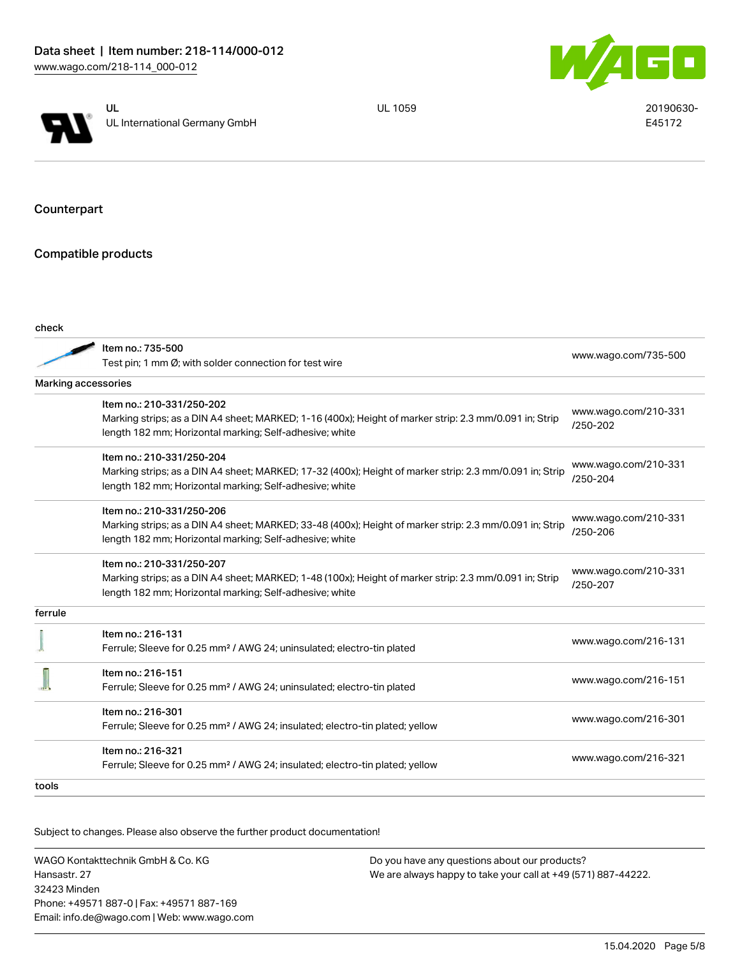



UL 1059 20190630-E45172

Counterpart

Compatible products

| check               |                                                                                                                                                                                                 |                                      |
|---------------------|-------------------------------------------------------------------------------------------------------------------------------------------------------------------------------------------------|--------------------------------------|
|                     | Item no.: 735-500<br>Test pin; 1 mm Ø; with solder connection for test wire                                                                                                                     | www.wago.com/735-500                 |
| Marking accessories |                                                                                                                                                                                                 |                                      |
|                     | Item no.: 210-331/250-202<br>Marking strips; as a DIN A4 sheet; MARKED; 1-16 (400x); Height of marker strip: 2.3 mm/0.091 in; Strip<br>length 182 mm; Horizontal marking; Self-adhesive; white  | www.wago.com/210-331<br>$/250 - 202$ |
|                     | Item no.: 210-331/250-204<br>Marking strips; as a DIN A4 sheet; MARKED; 17-32 (400x); Height of marker strip: 2.3 mm/0.091 in; Strip<br>length 182 mm; Horizontal marking; Self-adhesive; white | www.wago.com/210-331<br>/250-204     |
|                     | Item no.: 210-331/250-206<br>Marking strips; as a DIN A4 sheet; MARKED; 33-48 (400x); Height of marker strip: 2.3 mm/0.091 in; Strip<br>length 182 mm; Horizontal marking; Self-adhesive; white | www.wago.com/210-331<br>/250-206     |
|                     | Item no.: 210-331/250-207<br>Marking strips; as a DIN A4 sheet; MARKED; 1-48 (100x); Height of marker strip: 2.3 mm/0.091 in; Strip<br>length 182 mm; Horizontal marking; Self-adhesive; white  | www.wago.com/210-331<br>/250-207     |
| ferrule             |                                                                                                                                                                                                 |                                      |
|                     | Item no.: 216-131<br>Ferrule; Sleeve for 0.25 mm <sup>2</sup> / AWG 24; uninsulated; electro-tin plated                                                                                         | www.wago.com/216-131                 |
|                     | Item no.: 216-151<br>Ferrule; Sleeve for 0.25 mm <sup>2</sup> / AWG 24; uninsulated; electro-tin plated                                                                                         | www.wago.com/216-151                 |
|                     | Item no.: 216-301<br>Ferrule; Sleeve for 0.25 mm <sup>2</sup> / AWG 24; insulated; electro-tin plated; yellow                                                                                   | www.wago.com/216-301                 |
|                     | Item no.: 216-321<br>Ferrule; Sleeve for 0.25 mm <sup>2</sup> / AWG 24; insulated; electro-tin plated; yellow                                                                                   | www.wago.com/216-321                 |
| tools               |                                                                                                                                                                                                 |                                      |

Subject to changes. Please also observe the further product documentation!

WAGO Kontakttechnik GmbH & Co. KG Hansastr. 27 32423 Minden Phone: +49571 887-0 | Fax: +49571 887-169 Email: info.de@wago.com | Web: www.wago.com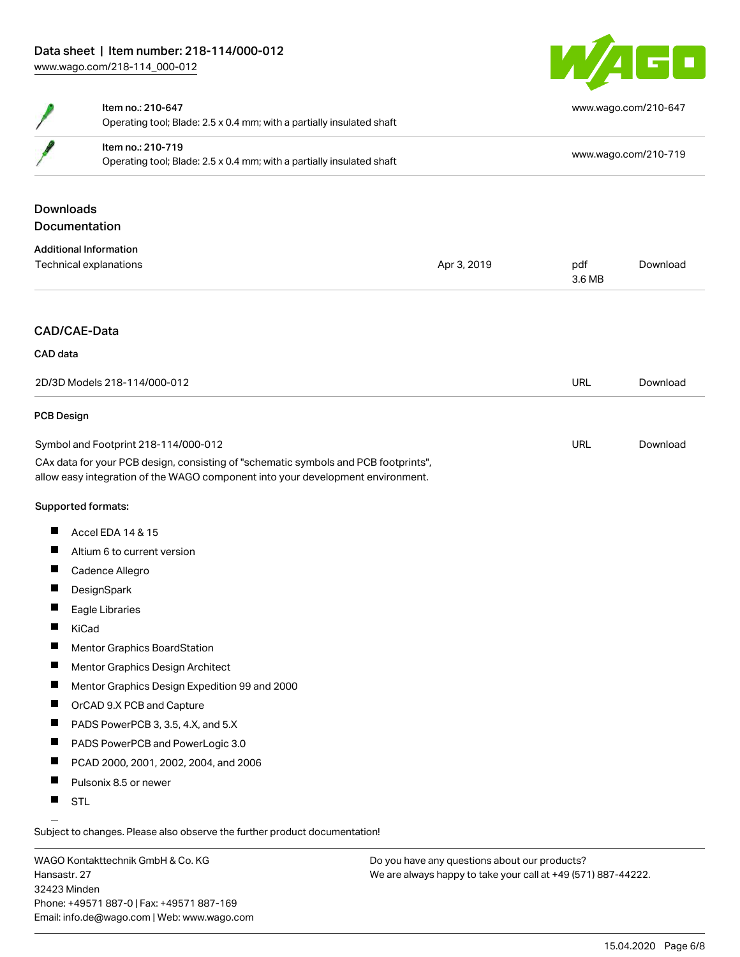

|                                      | Item no.: 210-647                                                                                                                                                      |             |                      | www.wago.com/210-647 |  |
|--------------------------------------|------------------------------------------------------------------------------------------------------------------------------------------------------------------------|-------------|----------------------|----------------------|--|
|                                      | Operating tool; Blade: 2.5 x 0.4 mm; with a partially insulated shaft                                                                                                  |             |                      |                      |  |
|                                      | Item no.: 210-719<br>Operating tool; Blade: 2.5 x 0.4 mm; with a partially insulated shaft                                                                             |             | www.wago.com/210-719 |                      |  |
|                                      |                                                                                                                                                                        |             |                      |                      |  |
| <b>Downloads</b>                     |                                                                                                                                                                        |             |                      |                      |  |
|                                      | Documentation                                                                                                                                                          |             |                      |                      |  |
|                                      | <b>Additional Information</b>                                                                                                                                          |             |                      |                      |  |
|                                      | Technical explanations                                                                                                                                                 | Apr 3, 2019 | pdf<br>3.6 MB        | Download             |  |
|                                      | CAD/CAE-Data                                                                                                                                                           |             |                      |                      |  |
|                                      |                                                                                                                                                                        |             |                      |                      |  |
| CAD data                             |                                                                                                                                                                        |             |                      |                      |  |
| 2D/3D Models 218-114/000-012         |                                                                                                                                                                        |             | <b>URL</b>           | Download             |  |
| <b>PCB Design</b>                    |                                                                                                                                                                        |             |                      |                      |  |
| Symbol and Footprint 218-114/000-012 |                                                                                                                                                                        |             | <b>URL</b>           | Download             |  |
|                                      | CAx data for your PCB design, consisting of "schematic symbols and PCB footprints",<br>allow easy integration of the WAGO component into your development environment. |             |                      |                      |  |
|                                      | Supported formats:                                                                                                                                                     |             |                      |                      |  |
| L                                    | Accel EDA 14 & 15                                                                                                                                                      |             |                      |                      |  |
| $\overline{\phantom{a}}$             | Altium 6 to current version                                                                                                                                            |             |                      |                      |  |
| ш                                    | Cadence Allegro                                                                                                                                                        |             |                      |                      |  |
| H.                                   | DesignSpark                                                                                                                                                            |             |                      |                      |  |
| п                                    | Eagle Libraries                                                                                                                                                        |             |                      |                      |  |
| ш                                    | KiCad                                                                                                                                                                  |             |                      |                      |  |
| ш                                    | Mentor Graphics BoardStation                                                                                                                                           |             |                      |                      |  |
|                                      | Mentor Graphics Design Architect                                                                                                                                       |             |                      |                      |  |
| L                                    | Mentor Graphics Design Expedition 99 and 2000                                                                                                                          |             |                      |                      |  |
| H.                                   | OrCAD 9.X PCB and Capture                                                                                                                                              |             |                      |                      |  |
| $\overline{\phantom{a}}$             | PADS PowerPCB 3, 3.5, 4.X, and 5.X                                                                                                                                     |             |                      |                      |  |
| ш                                    | PADS PowerPCB and PowerLogic 3.0                                                                                                                                       |             |                      |                      |  |
| ш                                    | PCAD 2000, 2001, 2002, 2004, and 2006                                                                                                                                  |             |                      |                      |  |
| ш                                    | Pulsonix 8.5 or newer                                                                                                                                                  |             |                      |                      |  |
| ш                                    | <b>STL</b>                                                                                                                                                             |             |                      |                      |  |

 $\overline{\phantom{0}}$ Subject to changes. Please also observe the further product documentation!

WAGO Kontakttechnik GmbH & Co. KG Hansastr. 27 32423 Minden Phone: +49571 887-0 | Fax: +49571 887-169 Email: info.de@wago.com | Web: www.wago.com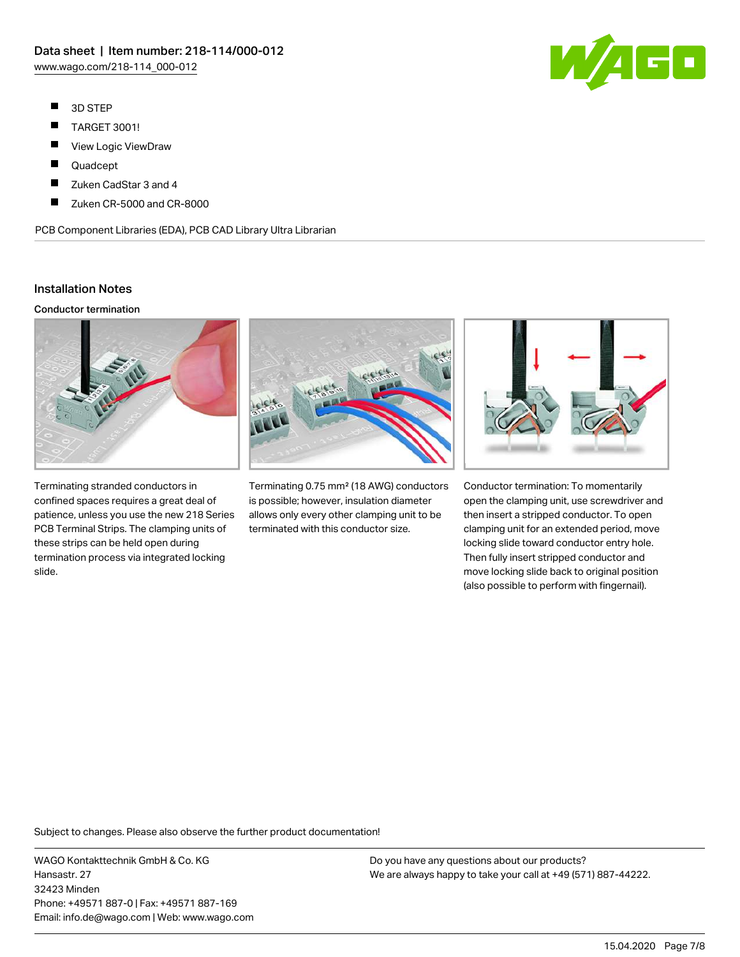- $\blacksquare$ 3D STEP
- $\blacksquare$ TARGET 3001!
- $\blacksquare$ View Logic ViewDraw
- $\blacksquare$ Quadcept
- П Zuken CadStar 3 and 4
- П Zuken CR-5000 and CR-8000

PCB Component Libraries (EDA), PCB CAD Library Ultra Librarian

#### Installation Notes

#### Conductor termination



Terminating stranded conductors in confined spaces requires a great deal of patience, unless you use the new 218 Series PCB Terminal Strips. The clamping units of these strips can be held open during termination process via integrated locking slide.



Terminating 0.75 mm² (18 AWG) conductors is possible; however, insulation diameter allows only every other clamping unit to be terminated with this conductor size.



Conductor termination: To momentarily open the clamping unit, use screwdriver and then insert a stripped conductor. To open clamping unit for an extended period, move locking slide toward conductor entry hole. Then fully insert stripped conductor and move locking slide back to original position (also possible to perform with fingernail).

Subject to changes. Please also observe the further product documentation!

WAGO Kontakttechnik GmbH & Co. KG Hansastr. 27 32423 Minden Phone: +49571 887-0 | Fax: +49571 887-169 Email: info.de@wago.com | Web: www.wago.com